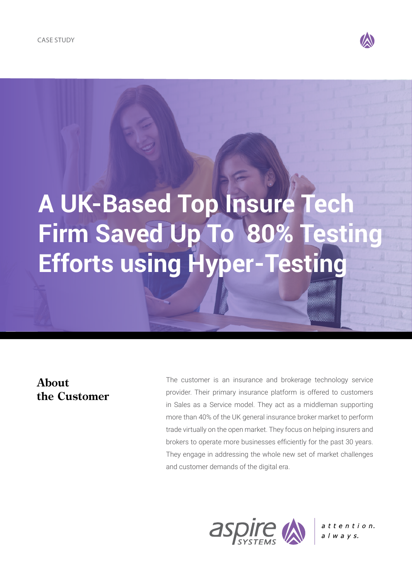

# **A UK-Based Top Insure Tech Firm Saved Up To 80% Testing Efforts using Hyper-Testing**

## **About the Customer**

The customer is an insurance and brokerage technology service provider. Their primary insurance platform is offered to customers in Sales as a Service model. They act as a middleman supporting more than 40% of the UK general insurance broker market to perform trade virtually on the open market. They focus on helping insurers and brokers to operate more businesses efficiently for the past 30 years. They engage in addressing the whole new set of market challenges and customer demands of the digital era.



attention.  $a \mid w \mid a \mid y \mid s.$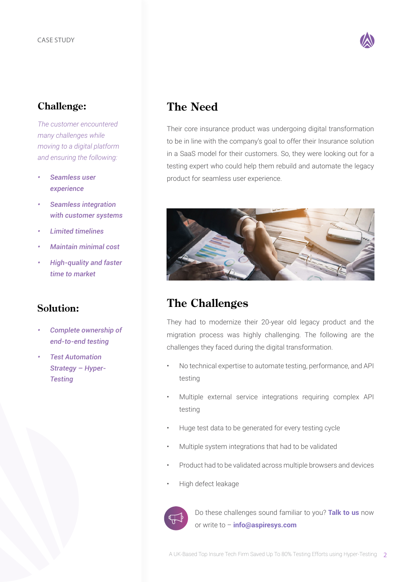

### **Challenge:**

*The customer encountered many challenges while moving to a digital platform and ensuring the following:*

- *• Seamless user experience*
- *• Seamless integration with customer systems*
- *• Limited timelines*
- *• Maintain minimal cost*
- *• High-quality and faster time to market*

#### **Solution:**

- *• Complete ownership of end-to-end testing*
- *• Test Automation Strategy – Hyper-Testing*

# **The Need**

Their core insurance product was undergoing digital transformation to be in line with the company's goal to offer their Insurance solution in a SaaS model for their customers. So, they were looking out for a testing expert who could help them rebuild and automate the legacy product for seamless user experience.



## **The Challenges**

They had to modernize their 20-year old legacy product and the migration process was highly challenging. The following are the challenges they faced during the digital transformation.

- No technical expertise to automate testing, performance, and API testing
- Multiple external service integrations requiring complex API testing
- Huge test data to be generated for every testing cycle
- Multiple system integrations that had to be validated
- Product had to be validated across multiple browsers and devices
- High defect leakage



Do these challenges sound familiar to you? **[Talk to us](https://www.aspiresys.com/contact-us)** now or write to – **[info@aspiresys.com](mailto:info@aspiresys.com)**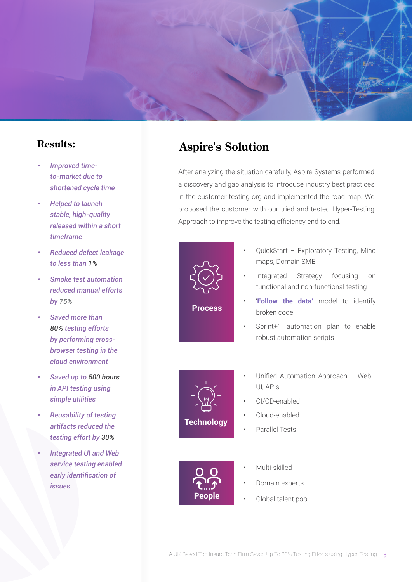

#### **Results:**

- *• Improved timeto-market due to shortened cycle time*
- *• Helped to launch stable, high-quality released within a short timeframe*
- *• Reduced defect leakage to less than 1%*
- *• Smoke test automation reduced manual efforts by 75%*
- *• Saved more than 80% testing efforts by performing crossbrowser testing in the cloud environment*
- *• Saved up to 500 hours in API testing using simple utilities*
- *• Reusability of testing artifacts reduced the testing effort by 30%*
- *• Integrated UI and Web service testing enabled early identification of issues*

# **Aspire's Solution**

After analyzing the situation carefully, Aspire Systems performed a discovery and gap analysis to introduce industry best practices in the customer testing org and implemented the road map. We proposed the customer with our tried and tested Hyper-Testing Approach to improve the testing efficiency end to end.



- QuickStart Exploratory Testing, Mind maps, Domain SME
- Integrated Strategy focusing on functional and non-functional testing
- '**Follow the data'** model to identify broken code
- Sprint+1 automation plan to enable robust automation scripts



- Unified Automation Approach Web UI, APIs
- CI/CD-enabled
- Cloud-enabled
- Parallel Tests



- Multi-skilled
- Domain experts
- Global talent pool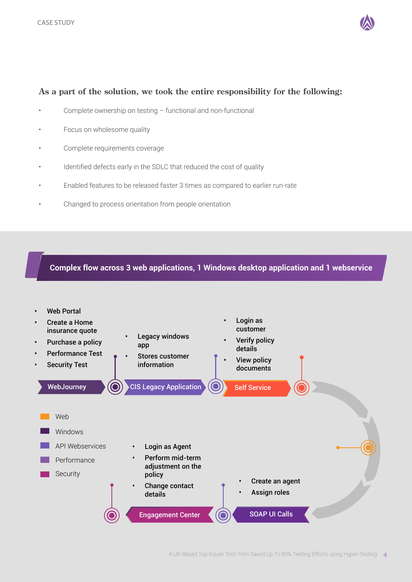

#### **As a part of the solution, we took the entire responsibility for the following:**

- Complete ownership on testing functional and non-functional
- Focus on wholesome quality
- Complete requirements coverage
- Identified defects early in the SDLC that reduced the cost of quality
- Enabled features to be released faster 3 times as compared to earlier run-rate
- Changed to process orientation from people orientation

#### **Complex flow across 3 web applications, 1 Windows desktop application and 1 webservice**

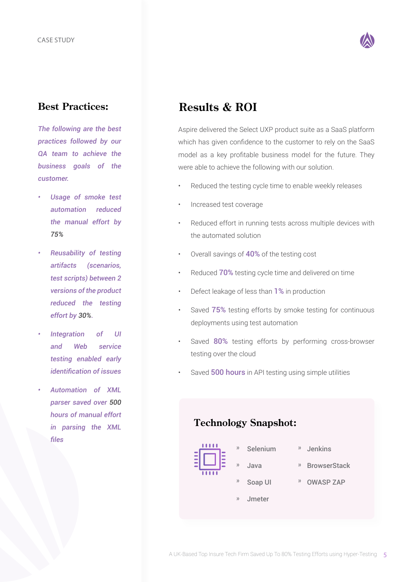

#### **Best Practices:**

*The following are the best practices followed by our QA team to achieve the business goals of the customer.*

- *• Usage of smoke test automation reduced the manual effort by 75%*
- *• Reusability of testing artifacts (scenarios, test scripts) between 2 versions of the product reduced the testing effort by 30%.*
- *• Integration of UI and Web service testing enabled early identification of issues*
- *• Automation of XML parser saved over 500 hours of manual effort in parsing the XML files*

# **Results & ROI**

Aspire delivered the Select UXP product suite as a SaaS platform which has given confidence to the customer to rely on the SaaS model as a key profitable business model for the future. They were able to achieve the following with our solution.

- Reduced the testing cycle time to enable weekly releases
- Increased test coverage
- Reduced effort in running tests across multiple devices with the automated solution
- Overall savings of 40% of the testing cost
- Reduced 70% testing cycle time and delivered on time
- Defect leakage of less than 1% in production
- Saved 75% testing efforts by smoke testing for continuous deployments using test automation
- Saved 80% testing efforts by performing cross-browser testing over the cloud
- Saved **500 hours** in API testing using simple utilities

#### **Technology Snapshot:**



- » Selenium » Java » »
- Soap UI » »
- » Jenkins
- BrowserStack
	- OWASP ZAP
- Jmeter »